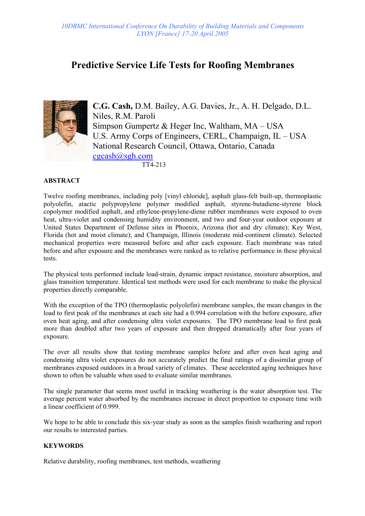# **Predictive Service Life Tests for Roofing Membranes**



**C.G. Cash,** D.M. Bailey, A.G. Davies, Jr., A. H. Delgado, D.L. Niles, R.M. Paroli Simpson Gumpertz & Heger Inc, Waltham, MA – USA U.S. Army Corps of Engineers, CERL, Champaign, IL – USA National Research Council, Ottawa, Ontario, Canada cgcash@sgh.com TT4-213

#### **ABSTRACT**

Twelve roofing membranes, including poly [vinyl chloride], asphalt glass-felt built-up, thermoplastic polyolefin, atactic polypropylene polymer modified asphalt, styrene-butadiene-styrene block copolymer modified asphalt, and ethylene-propylene-diene rubber membranes were exposed to oven heat, ultra-violet and condensing humidity environment, and two and four-year outdoor exposure at United States Department of Defense sites in Phoenix, Arizona (hot and dry climate); Key West, Florida (hot and moist climate); and Champaign, Illinois (moderate mid-continent climate). Selected mechanical properties were measured before and after each exposure. Each membrane was rated before and after exposure and the membranes were ranked as to relative performance in these physical tests.

The physical tests performed include load-strain, dynamic impact resistance, moisture absorption, and glass transition temperature. Identical test methods were used for each membrane to make the physical properties directly comparable.

With the exception of the TPO (thermoplastic polyolefin) membrane samples, the mean changes in the load to first peak of the membranes at each site had a 0.994 correlation with the before exposure, after oven heat aging, and after condensing ultra violet exposures. The TPO membrane load to first peak more than doubled after two years of exposure and then dropped dramatically after four years of exposure.

The over all results show that testing membrane samples before and after oven heat aging and condensing ultra violet exposures do not accurately predict the final ratings of a dissimilar group of membranes exposed outdoors in a broad variety of climates. These accelerated aging techniques have shown to often be valuable when used to evaluate similar membranes.

The single parameter that seems most useful in tracking weathering is the water absorption test. The average percent water absorbed by the membranes increase in direct proportion to exposure time with a linear coefficient of 0.999.

We hope to be able to conclude this six-year study as soon as the samples finish weathering and report our results to interested parties.

### **KEYWORDS**

Relative durability, roofing membranes, test methods, weathering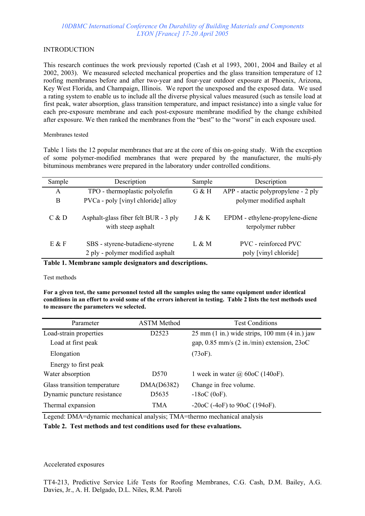#### **INTRODUCTION**

This research continues the work previously reported (Cash et al 1993, 2001, 2004 and Bailey et al 2002, 2003). We measured selected mechanical properties and the glass transition temperature of 12 roofing membranes before and after two-year and four-year outdoor exposure at Phoenix, Arizona, Key West Florida, and Champaign, Illinois. We report the unexposed and the exposed data. We used a rating system to enable us to include all the diverse physical values measured (such as tensile load at first peak, water absorption, glass transition temperature, and impact resistance) into a single value for each pre-exposure membrane and each post-exposure membrane modified by the change exhibited after exposure. We then ranked the membranes from the "best" to the "worst" in each exposure used.

#### Membranes tested

Table 1 lists the 12 popular membranes that are at the core of this on-going study. With the exception of some polymer-modified membranes that were prepared by the manufacturer, the multi-ply bituminous membranes were prepared in the laboratory under controlled conditions.

| Sample    | Description                                                | Sample | Description                                          |  |
|-----------|------------------------------------------------------------|--------|------------------------------------------------------|--|
| A         | TPO - thermoplastic polyolefin                             | G & H  | APP - atactic polypropylene - 2 ply                  |  |
| B         | PVCa - poly [vinyl chloride] alloy                         |        | polymer modified asphalt                             |  |
| C & D     | Asphalt-glass fiber felt BUR - 3 ply<br>with steep asphalt | J & K  | EPDM - ethylene-propylene-diene<br>terpolymer rubber |  |
| $E$ & $F$ | SBS - styrene-butadiene-styrene                            | L & M  | <b>PVC</b> - reinforced PVC                          |  |
|           | 2 ply - polymer modified asphalt                           |        | poly [vinyl chloride]                                |  |

**Table 1. Membrane sample designators and descriptions.** 

#### Test methods

**For a given test, the same personnel tested all the samples using the same equipment under identical conditions in an effort to avoid some of the errors inherent in testing. Table 2 lists the test methods used to measure the parameters we selected.** 

| Parameter                                                   | <b>ASTM</b> Method              | <b>Test Conditions</b>                                                                                                    |
|-------------------------------------------------------------|---------------------------------|---------------------------------------------------------------------------------------------------------------------------|
| Load-strain properties<br>Load at first peak                | D <sub>2523</sub>               | $25 \text{ mm}$ (1 in.) wide strips, 100 mm (4 in.) jaw<br>gap, $0.85$ mm/s $(2 \text{ in/min})$ extension, $23\text{oC}$ |
| Elongation                                                  |                                 | $(73oF)$ .                                                                                                                |
| Energy to first peak<br>Water absorption                    | D <sub>570</sub>                | 1 week in water $\omega$ 60oC (140oF).                                                                                    |
| Glass transition temperature<br>Dynamic puncture resistance | DMA(D6382)<br>D <sub>5635</sub> | Change in free volume.<br>$-18$ oC (0oF).                                                                                 |
| Thermal expansion                                           | <b>TMA</b>                      | $-20$ (-40F) to 90 oC (1940F).                                                                                            |

Legend: DMA=dynamic mechanical analysis; TMA=thermo mechanical analysis

**Table 2. Test methods and test conditions used for these evaluations.** 

#### Accelerated exposures

TT4-213, Predictive Service Life Tests for Roofing Membranes, C.G. Cash, D.M. Bailey, A.G. Davies, Jr., A. H. Delgado, D.L. Niles, R.M. Paroli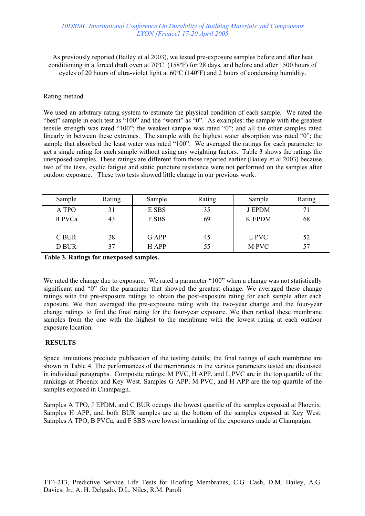As previously reported (Bailey et al 2003), we tested pre-exposure samples before and after heat conditioning in a forced draft oven at 70ºC (158ºF) for 28 days, and before and after 1500 hours of cycles of 20 hours of ultra-violet light at 60ºC (140ºF) and 2 hours of condensing humidity.

#### Rating method

We used an arbitrary rating system to estimate the physical condition of each sample. We rated the "best" sample in each test as "100" and the "worst" as "0". As examples: the sample with the greatest tensile strength was rated "100"; the weakest sample was rated "0"; and all the other samples rated linearly in between these extremes. The sample with the highest water absorption was rated "0"; the sample that absorbed the least water was rated "100". We averaged the ratings for each parameter to get a single rating for each sample without using any weighting factors. Table 3 shows the ratings the unexposed samples. These ratings are different from those reported earlier (Bailey et al 2003) because two of the tests, cyclic fatigue and static puncture resistance were not performed on the samples after outdoor exposure. These two tests showed little change in our previous work.

| Sample        | Rating | Sample       | Rating | Sample        | Rating |
|---------------|--------|--------------|--------|---------------|--------|
| A TPO         | 31     | E SBS        | 35     | <b>J EPDM</b> | 71     |
| <b>B</b> PVCa | 43     | F SBS        | 69     | <b>K EPDM</b> | 68     |
|               |        |              |        |               |        |
| C BUR         | 28     | <b>G</b> APP | 45     | L PVC         | 52     |
| <b>D BUR</b>  | 37     | H APP        | 55     | M PVC         |        |

**Table 3. Ratings for unexposed samples.** 

We rated the change due to exposure. We rated a parameter "100" when a change was not statistically significant and "0" for the parameter that showed the greatest change. We averaged these change ratings with the pre-exposure ratings to obtain the post-exposure rating for each sample after each exposure. We then averaged the pre-exposure rating with the two-year change and the four-year change ratings to find the final rating for the four-year exposure. We then ranked these membrane samples from the one with the highest to the membrane with the lowest rating at each outdoor exposure location.

### **RESULTS**

Space limitations preclude publication of the testing details; the final ratings of each membrane are shown in Table 4. The performances of the membranes in the various parameters tested are discussed in individual paragraphs. Composite ratings: M PVC, H APP, and L PVC are in the top quartile of the rankings at Phoenix and Key West. Samples G APP, M PVC, and H APP are the top quartile of the samples exposed in Champaign.

Samples A TPO, J EPDM, and C BUR occupy the lowest quartile of the samples exposed at Phoenix. Samples H APP, and both BUR samples are at the bottom of the samples exposed at Key West. Samples A TPO, B PVCa, and F SBS were lowest in ranking of the exposures made at Champaign.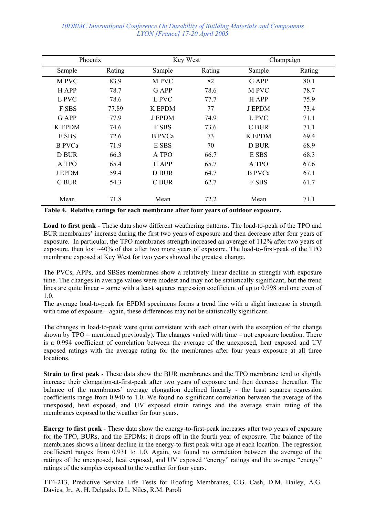| Phoenix       |        | Key West      |        | Champaign     |        |
|---------------|--------|---------------|--------|---------------|--------|
| Sample        | Rating | Sample        | Rating | Sample        | Rating |
| M PVC         | 83.9   | M PVC         | 82     | G APP         | 80.1   |
| H APP         | 78.7   | G APP         | 78.6   | M PVC         | 78.7   |
| L PVC         | 78.6   | L PVC         | 77.7   | H APP         | 75.9   |
| F SBS         | 77.89  | <b>K EPDM</b> | 77     | <b>J EPDM</b> | 73.4   |
| G APP         | 77.9   | <b>J EPDM</b> | 74.9   | L PVC         | 71.1   |
| <b>K EPDM</b> | 74.6   | F SBS         | 73.6   | C BUR         | 71.1   |
| E SBS         | 72.6   | <b>B</b> PVCa | 73     | <b>K EPDM</b> | 69.4   |
| <b>B</b> PVCa | 71.9   | E SBS         | 70     | D BUR         | 68.9   |
| <b>D BUR</b>  | 66.3   | A TPO         | 66.7   | E SBS         | 68.3   |
| A TPO         | 65.4   | H APP         | 65.7   | A TPO         | 67.6   |
| <b>J EPDM</b> | 59.4   | D BUR         | 64.7   | <b>B</b> PVCa | 67.1   |
| C BUR         | 54.3   | C BUR         | 62.7   | F SBS         | 61.7   |
| Mean          | 71.8   | Mean          | 72.2   | Mean          | 71.1   |

**Table 4. Relative ratings for each membrane after four years of outdoor exposure.** 

**Load to first peak** - These data show different weathering patterns. The load-to-peak of the TPO and BUR membranes' increase during the first two years of exposure and then decrease after four years of exposure. In particular, the TPO membranes strength increased an average of 112% after two years of exposure, then lost ~40% of that after two more years of exposure. The load-to-first-peak of the TPO membrane exposed at Key West for two years showed the greatest change.

The PVCs, APPs, and SBSes membranes show a relatively linear decline in strength with exposure time. The changes in average values were modest and may not be statistically significant, but the trend lines are quite linear – some with a least squares regression coefficient of up to 0.998 and one even of 1.0.

The average load-to-peak for EPDM specimens forms a trend line with a slight increase in strength with time of exposure – again, these differences may not be statistically significant.

The changes in load-to-peak were quite consistent with each other (with the exception of the change shown by TPO – mentioned previously). The changes varied with time – not exposure location. There is a 0.994 coefficient of correlation between the average of the unexposed, heat exposed and UV exposed ratings with the average rating for the membranes after four years exposure at all three locations.

**Strain to first peak** - These data show the BUR membranes and the TPO membrane tend to slightly increase their elongation-at-first-peak after two years of exposure and then decrease thereafter. The balance of the membranes' average elongation declined linearly - the least squares regression coefficients range from 0.940 to 1.0. We found no significant correlation between the average of the unexposed, heat exposed, and UV exposed strain ratings and the average strain rating of the membranes exposed to the weather for four years.

**Energy to first peak** - These data show the energy-to-first-peak increases after two years of exposure for the TPO, BURs, and the EPDMs; it drops off in the fourth year of exposure. The balance of the membranes shows a linear decline in the energy-to first peak with age at each location. The regression coefficient ranges from 0.931 to 1.0. Again, we found no correlation between the average of the ratings of the unexposed, heat exposed, and UV exposed "energy" ratings and the average "energy" ratings of the samples exposed to the weather for four years.

TT4-213, Predictive Service Life Tests for Roofing Membranes, C.G. Cash, D.M. Bailey, A.G. Davies, Jr., A. H. Delgado, D.L. Niles, R.M. Paroli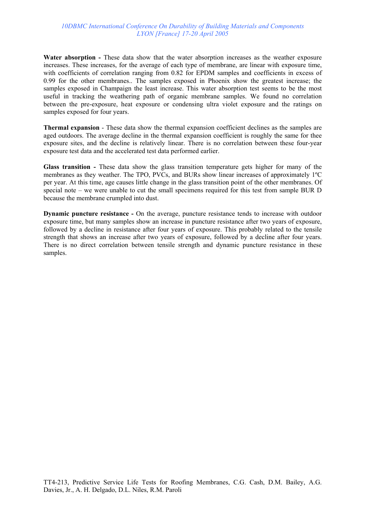Water absorption - These data show that the water absorption increases as the weather exposure increases. These increases, for the average of each type of membrane, are linear with exposure time, with coefficients of correlation ranging from 0.82 for EPDM samples and coefficients in excess of 0.99 for the other membranes.. The samples exposed in Phoenix show the greatest increase; the samples exposed in Champaign the least increase. This water absorption test seems to be the most useful in tracking the weathering path of organic membrane samples. We found no correlation between the pre-exposure, heat exposure or condensing ultra violet exposure and the ratings on samples exposed for four years.

**Thermal expansion** - These data show the thermal expansion coefficient declines as the samples are aged outdoors. The average decline in the thermal expansion coefficient is roughly the same for thee exposure sites, and the decline is relatively linear. There is no correlation between these four-year exposure test data and the accelerated test data performed earlier.

**Glass transition -** These data show the glass transition temperature gets higher for many of the membranes as they weather. The TPO, PVCs, and BURs show linear increases of approximately 1ºC per year. At this time, age causes little change in the glass transition point of the other membranes. Of special note – we were unable to cut the small specimens required for this test from sample BUR D because the membrane crumpled into dust.

**Dynamic puncture resistance -** On the average, puncture resistance tends to increase with outdoor exposure time, but many samples show an increase in puncture resistance after two years of exposure, followed by a decline in resistance after four years of exposure. This probably related to the tensile strength that shows an increase after two years of exposure, followed by a decline after four years. There is no direct correlation between tensile strength and dynamic puncture resistance in these samples.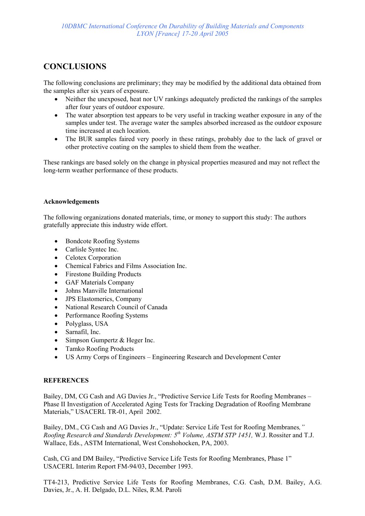## **CONCLUSIONS**

The following conclusions are preliminary; they may be modified by the additional data obtained from the samples after six years of exposure.

- Neither the unexposed, heat nor UV rankings adequately predicted the rankings of the samples after four years of outdoor exposure.
- The water absorption test appears to be very useful in tracking weather exposure in any of the samples under test. The average water the samples absorbed increased as the outdoor exposure time increased at each location.
- The BUR samples faired very poorly in these ratings, probably due to the lack of gravel or other protective coating on the samples to shield them from the weather.

These rankings are based solely on the change in physical properties measured and may not reflect the long-term weather performance of these products.

#### **Acknowledgements**

The following organizations donated materials, time, or money to support this study: The authors gratefully appreciate this industry wide effort.

- Bondcote Roofing Systems
- Carlisle Syntec Inc.
- Celotex Corporation
- Chemical Fabrics and Films Association Inc.
- Firestone Building Products
- GAF Materials Company
- Johns Manville International
- JPS Elastomerics, Company
- National Research Council of Canada
- Performance Roofing Systems
- Polyglass, USA
- Sarnafil, Inc.
- Simpson Gumpertz & Heger Inc.
- Tamko Roofing Products
- US Army Corps of Engineers Engineering Research and Development Center

#### **REFERENCES**

Bailey, DM, CG Cash and AG Davies Jr., "Predictive Service Life Tests for Roofing Membranes – Phase II Investigation of Accelerated Aging Tests for Tracking Degradation of Roofing Membrane Materials," USACERL TR-01, April 2002.

Bailey, DM., CG Cash and AG Davies Jr., "Update: Service Life Test for Roofing Membranes*," Roofing Research and Standards Development: 5th Volume, ASTM STP 1451,* W.J. Rossiter and T.J. Wallace, Eds., ASTM International, West Conshohocken, PA, 2003.

Cash, CG and DM Bailey, "Predictive Service Life Tests for Roofing Membranes, Phase 1" USACERL Interim Report FM-94/03, December 1993.

TT4-213, Predictive Service Life Tests for Roofing Membranes, C.G. Cash, D.M. Bailey, A.G. Davies, Jr., A. H. Delgado, D.L. Niles, R.M. Paroli